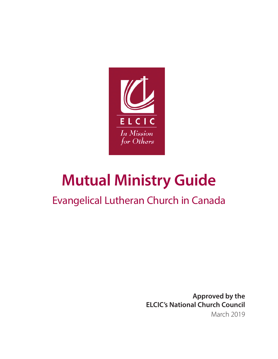

# **Mutual Ministry Guide**

# Evangelical Lutheran Church in Canada

**Approved by the ELCIC's National Church Council** March 2019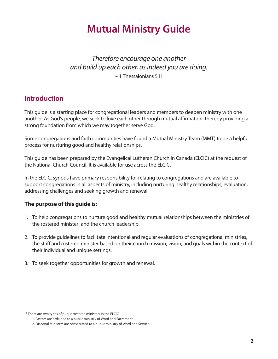# **Mutual Ministry Guide**

### *Therefore encourage one another and build up each other, as indeed you are doing.*  $\sim$  1 Thessalonians 5:11

### **Introduction**

This guide is a starting place for congregational leaders and members to deepen ministry with one another. As God's people, we seek to love each other through mutual affirmation, thereby providing a strong foundation from which we may together serve God.

Some congregations and faith communities have found a Mutual Ministry Team (MMT) to be a helpful process for nurturing good and healthy relationships.

This guide has been prepared by the Evangelical Lutheran Church in Canada (ELCIC) at the request of the National Church Council. It is available for use across the ELCIC.

In the ELCIC, synods have primary responsibility for relating to congregations and are available to support congregations in all aspects of ministry, including nurturing healthy relationships, evaluation, addressing challenges and seeking growth and renewal.

#### **The purpose of this guide is:**

- 1. To help congregations to nurture good and healthy mutual relationships between the ministries of the rostered minister<sup>1</sup> and the church leadership.
- 2. To provide guidelines to facilitate intentional and regular evaluations of congregational ministries, the staff and rostered minister based on their church mission, vision, and goals within the context of their individual and unique settings.
- 3. To seek together opportunities for growth and renewal.

<sup>&</sup>lt;sup>1</sup> There are two types of public rostered ministers in the ELCIC:

<sup>1.</sup> Pastors are ordained to a public ministry of Word and Sacrament.

<sup>2.</sup> Diaconal Ministers are consecrated to a public ministry of Word and Service.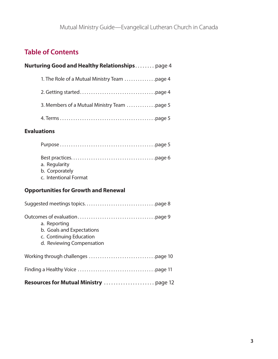# **Table of Contents**

# **Nurturing Good and Healthy Relationships........ page 4** 1. The Role of a Mutual Ministry Team . . . . . . . . . . . . . . . page 4 2. Getting started. . page 4 3. Members of a Mutual Ministry Team . . . . . . . . . . . . . . page 5 4. Terms. . page 5

#### **Evaluations**

| a. Regularity         |  |
|-----------------------|--|
| b. Corporately        |  |
| c. Intentional Format |  |

#### **Opportunities for Growth and Renewal**

| a. Reporting<br>b. Goals and Expectations<br>c. Continuing Education<br>d. Reviewing Compensation |
|---------------------------------------------------------------------------------------------------|
|                                                                                                   |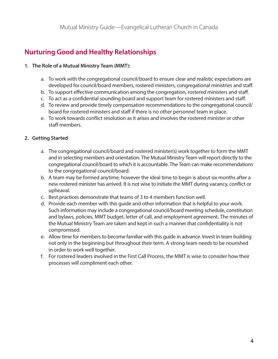# **Nurturing Good and Healthy Relationships**

#### **1. The Role of a Mutual Ministry Team (MMT):**

- a. To work with the congregational council/board to ensure clear and realistic expectations are developed for council/board members, rostered ministers, congregational ministries and staff.
- b. To support effective communication among the congregation, rostered ministers and staff.
- c. To act as a confidential sounding board and support team for rostered ministers and staff.
- d. To review and provide timely compensation recommendations to the congregational council/ board for rostered ministers and staff if there is no other personnel team in place.
- e. To work towards conflict resolution as it arises and involves the rostered minister or other staff members.

#### **2. Getting Started**

- a. The congregational council/board and rostered minister(s) work together to form the MMT and in selecting members and orientation. The Mutual Ministry Team will report directly to the congregational council/board to which it is accountable. The Team can make recommendations to the congregational council/board.
- b. A team may be formed anytime; however the ideal time to begin is about six months after a new rostered minister has arrived. It is not wise to initiate the MMT during vacancy, conflict or upheaval.
- c. Best practices demonstrate that teams of 3 to 4 members function well.
- d. Provide each member with this guide and other information that is helpful to your work. Such information may include a congregational council/board meeting schedule, constitution and bylaws, policies, MMT budget, letter of call, and employment agreement. The minutes of the Mutual Ministry Team are taken and kept in such a manner that confidentiality is not compromised.
- e. Allow time for members to become familiar with this guide in advance. Invest in team building not only in the beginning but throughout their term. A strong team needs to be nourished in order to work well together.
- f. For rostered leaders involved in the First Call Process, the MMT is wise to consider how their processes will compliment each other.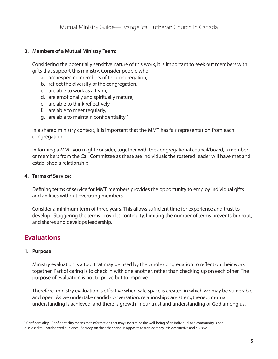#### **3. Members of a Mutual Ministry Team:**

Considering the potentially sensitive nature of this work, it is important to seek out members with gifts that support this ministry. Consider people who:

- a. are respected members of the congregation,
- b. reflect the diversity of the congregation,
- c. are able to work as a team,
- d. are emotionally and spiritually mature,
- e. are able to think reflectively,
- f. are able to meet regularly,
- g. are able to maintain confidentiality.<sup>2</sup>

In a shared ministry context, it is important that the MMT has fair representation from each congregation.

In forming a MMT you might consider, together with the congregational council/board, a member or members from the Call Committee as these are individuals the rostered leader will have met and established a relationship.

#### **4. Terms of Service:**

Defining terms of service for MMT members provides the opportunity to employ individual gifts and abilities without overusing members.

Consider a minimum term of three years. This allows sufficient time for experience and trust to develop. Staggering the terms provides continuity. Limiting the number of terms prevents burnout, and shares and develops leadership.

### **Evaluations**

#### **1. Purpose**

Ministry evaluation is a tool that may be used by the whole congregation to reflect on their work together. Part of caring is to check in with one another, rather than checking up on each other. The purpose of evaluation is not to prove but to improve.

Therefore, ministry evaluation is effective when safe space is created in which we may be vulnerable and open. As we undertake candid conversation, relationships are strengthened, mutual understanding is achieved, and there is growth in our trust and understanding of God among us.

<sup>2</sup> Confidentiality –Confidentiality means that information that may undermine the well-being of an individual or a community is not disclosed to unauthorized audience. Secrecy, on the other hand, is opposite to transparency. It is destructive and divisive.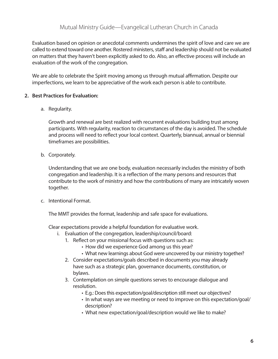Evaluation based on opinion or anecdotal comments undermines the spirit of love and care we are called to extend toward one another. Rostered ministers, staff and leadership should not be evaluated on matters that they haven't been explicitly asked to do. Also, an effective process will include an evaluation of the work of the congregation.

We are able to celebrate the Spirit moving among us through mutual affirmation. Despite our imperfections, we learn to be appreciative of the work each person is able to contribute.

#### **2. Best Practices for Evaluation:**

a. Regularity.

 Growth and renewal are best realized with recurrent evaluations building trust among participants. With regularity, reaction to circumstances of the day is avoided. The schedule and process will need to reflect your local context. Quarterly, biannual, annual or biennial timeframes are possibilities.

b. Corporately.

 Understanding that we are one body, evaluation necessarily includes the ministry of both congregation and leadership. It is a reflection of the many persons and resources that contribute to the work of ministry and how the contributions of many are intricately woven together.

c. Intentional Format.

The MMT provides the format, leadership and safe space for evaluations.

Clear expectations provide a helpful foundation for evaluative work.

- i. Evaluation of the congregation, leadership/council/board:
	- 1. Reflect on your missional focus with questions such as:
		- How did we experience God among us this year?
		- What new learnings about God were uncovered by our ministry together?
	- 2. Consider expectations/goals described in documents you may already have such as a strategic plan, governance documents, constitution, or bylaws.
	- 3. Contemplation on simple questions serves to encourage dialogue and resolution.
		- E.g.: Does this expectation/goal/description still meet our objectives?
		- In what ways are we meeting or need to improve on this expectation/goal/ description?
		- What new expectation/goal/description would we like to make?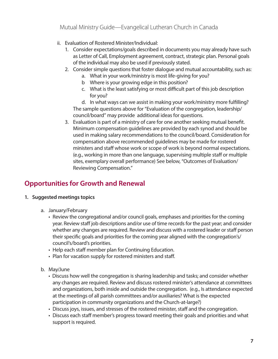Mutual Ministry Guide—Evangelical Lutheran Church in Canada

- ii. Evaluation of Rostered Minister/Individual:
	- 1. Consider expectations/goals described in documents you may already have such as Letter of Call, Employment agreement, contract, strategic plan. Personal goals of the individual may also be used if previously stated.
	- 2. Consider simple questions that foster dialogue and mutual accountability, such as:
		- a. What in your work/ministry is most life-giving for you?
		- b Where is your growing edge in this position?
		- c. What is the least satisfying or most difficult part of this job description for you?

 d. In what ways can we assist in making your work/ministry more fulfilling? The sample questions above for "Evaluation of the congregation, leadership/ council/board" may provide additional ideas for questions.

 3. Evaluation is part of a ministry of care for one another seeking mutual benefit. Minimum compensation guidelines are provided by each synod and should be used in making salary recommendations to the council/board. Consideration for compensation above recommended guidelines may be made for rostered ministers and staff whose work or scope of work is beyond normal expectations. (e.g., working in more than one language, supervising multiple staff or multiple sites, exemplary overall performance) See below, "Outcomes of Evaluation/ Reviewing Compensation."

## **Opportunities for Growth and Renewal**

#### **1. Suggested meetings topics**

- a. January/February
	- Review the congregational and/or council goals, emphases and priorities for the coming year. Review staff job descriptions and/or use of time records for the past year; and consider whether any changes are required. Review and discuss with a rostered leader or staff person their specific goals and priorities for the coming year aligned with the congregation's/ council's/board's priorities.
	- Help each staff member plan for Continuing Education.
	- Plan for vacation supply for rostered ministers and staff.
- b. May/June
	- Discuss how well the congregation is sharing leadership and tasks; and consider whether any changes are required. Review and discuss rostered minister's attendance at committees and organizations, both inside and outside the congregation. (e.g., Is attendance expected at the meetings of all parish committees and/or auxiliaries? What is the expected participation in community organizations and the Church-at-large?)
	- Discuss joys, issues, and stresses of the rostered minister, staff and the congregation.
	- Discuss each staff member's progress toward meeting their goals and priorities and what support is required.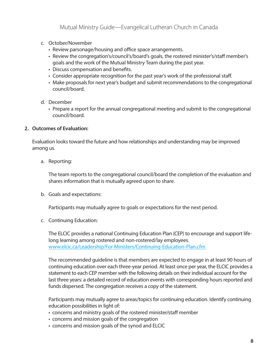- c. October/November
	- Review parsonage/housing and office space arrangements.
	- Review the congregation's/council's/board's goals, the rostered minister's/staff member's goals and the work of the Mutual Ministry Team during the past year.
	- Discuss compensation and benefits.
	- Consider appropriate recognition for the past year's work of the professional staff.
	- Make proposals for next year's budget and submit recommendations to the congregational council/board.
- d. December
	- Prepare a report for the annual congregational meeting and submit to the congregational council/board.

#### **2. Outcomes of Evaluation:**

Evaluation looks toward the future and how relationships and understanding may be improved among us.

a. Reporting:

 The team reports to the congregational council/board the completion of the evaluation and shares information that is mutually agreed upon to share.

b. Goals and expectations:

Participants may mutually agree to goals or expectations for the next period.

c. Continuing Education:

 The ELCIC provides a national Continuing Education Plan (CEP) to encourage and support life long learning among rostered and non-rostered/lay employees. <www.elcic.ca/Leadership/For-Ministers/Continuing-Education-Plan.cfm>

 The recommended guideline is that members are expected to engage in at least 90 hours of continuing education over each three-year period. At least once per year, the ELCIC provides a statement to each CEP member with the following details on their individual account for the last three years: a detailed record of education events with corresponding hours reported and funds dispersed. The congregation receives a copy of the statement.

 Participants may mutually agree to areas/topics for continuing education. Identify continuing education possibilities in light of:

- concerns and ministry goals of the rostered minister/staff member
- concerns and mission goals of the congregation
- concerns and mission goals of the synod and ELCIC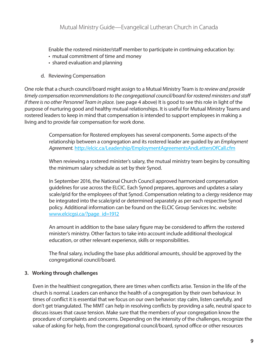Enable the rostered minister/staff member to participate in continuing education by:

- mutual commitment of time and money
- shared evaluation and planning
- d. Reviewing Compensation

One role that a church council/board might assign to a Mutual Ministry Team is *to review and provide timely compensation recommendations to the congregational council/board for rostered ministers and staff if there is no other Personnel Team in place.* (see page 4 above) It is good to see this role in light of the purpose of nurturing good and healthy mutual relationships. It is useful for Mutual Ministry Teams and rostered leaders to keep in mind that compensation is intended to support employees in making a living and to provide fair compensation for work done.

> Compensation for Rostered employees has several components. Some aspects of the relationship between a congregation and its rostered leader are guided by an *Employment Agreement.* <http://elcic.ca/Leadership/EmploymentAgreementsAndLettersOfCall.cfm>

> When reviewing a rostered minister's salary, the mutual ministry team begins by consulting the minimum salary schedule as set by their Synod.

In September 2016, the National Church Council approved harmonized compensation guidelines for use across the ELCIC. Each Synod prepares, approves and updates a salary scale/grid for the employees of that Synod. Compensation relating to a clergy residence may be integrated into the scale/grid or determined separately as per each respective Synod policy. Additional information can be found on the ELCIC Group Services Inc. website: <www.elcicgsi.ca>/?page\_id=1912

An amount in addition to the base salary figure may be considered to affirm the rostered minister's ministry. Other factors to take into account include additional theological education, or other relevant experience, skills or responsibilities.

The final salary, including the base plus additional amounts, should be approved by the congregational council/board.

#### **3. Working through challenges**

Even in the healthiest congregation, there are times when conflicts arise. Tension in the life of the church is normal. Leaders can enhance the health of a congregation by their own behaviour. In times of conflict it is essential that we focus on our own behavior: stay calm, listen carefully, and don't get triangulated. The MMT can help in resolving conflicts by providing a safe, neutral space to discuss issues that cause tension. Make sure that the members of your congregation know the procedure of complaints and concerns. Depending on the intensity of the challenges, recognize the value of asking for help, from the congregational council/board, synod office or other resources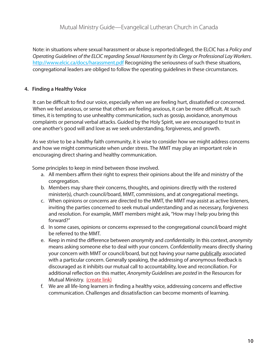Note: in situations where sexual harassment or abuse is reported/alleged, the ELCIC has a *Policy and Operating Guidelines of the ELCIC regarding Sexual Harassment by its Clergy or Professional Lay Workers*. <http://www.elcic.ca/docs/harassment.pdf>Recognizing the seriousness of such these situations, congregational leaders are obliged to follow the operating guidelines in these circumstances.

#### **4. Finding a Healthy Voice**

It can be difficult to find our voice, especially when we are feeling hurt, dissatisfied or concerned. When we feel anxious, or sense that others are feeling anxious, it can be more difficult. At such times, it is tempting to use unhealthy communication, such as gossip, avoidance, anonymous complaints or personal verbal attacks. Guided by the Holy Spirit, we are encouraged to trust in one another's good will and love as we seek understanding, forgiveness, and growth.

As we strive to be a healthy faith community, it is wise to consider how we might address concerns and how we might communicate when under stress. The MMT may play an important role in encouraging direct sharing and healthy communication.

Some principles to keep in mind between those involved.

- a. All members affirm their right to express their opinions about the life and ministry of the congregation.
- b. Members may share their concerns, thoughts, and opinions directly with the rostered minister(s), church council/board, MMT, commissions, and at congregational meetings.
- c. When opinions or concerns are directed to the MMT, the MMT may assist as active listeners, inviting the parties concerned to seek mutual understanding and as necessary, forgiveness and resolution. For example, MMT members might ask, "How may I help you bring this forward?"
- d. In some cases, opinions or concerns expressed to the congregational council/board might be referred to the MMT.
- e. Keep in mind the difference between *anonymity* and *confidentiality*. In this context, *anonymity* means asking someone else to deal with your concern. *Confidentiality* means directly sharing your concern with MMT or council/board, but not having your name publically associated with a particular concern. Generally speaking, the addressing of anonymous feedback is discouraged as it inhibits our mutual call to accountability, love and reconciliation. For additional reflection on this matter, *Anonymity Guidelines* are *posted* in the Resources for Mutual Ministry. (create link)
- f. We are all life-long learners in finding a healthy voice, addressing concerns and effective communication. Challenges and dissatisfaction can become moments of learning.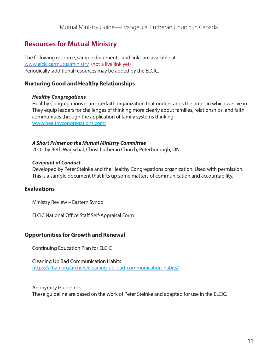# **Resources for Mutual Ministry**

The following resource, sample documents, and links are available at: <www.elcic.ca/mutualministry>(not a live link yet) Periodically, additional resources may be added by the ELCIC.

#### **Nurturing Good and Healthy Relationships**

#### *Healthy Congregations*

Healthy Congregations is an interfaith organization that understands the times in which we live in. They equip leaders for challenges of thinking more clearly about families, relationships, and faith communities through the application of family systems thinking. [www.healthycongregations.com/](www.healthycongregations.com)

#### *A Short Primer on the Mutual Ministry Committee*

2010, by Beth Wagschal, Christ Lutheran Church, Peterborough, ON

#### *Covenant of Conduct*

Developed by Peter Steinke and the Healthy Congregations organization. Used with permission. This is a sample document that lifts up some matters of communication and accountability.

#### **Evaluations**

Ministry Review – Eastern Synod

ELCIC National Office Staff Self-Appraisal Form

#### **Opportunities for Growth and Renewal**

Continuing Education Plan for ELCIC

Cleaning Up Bad Communication Habits [https://alban.org/archive/cleaning-](https://alban.org/archive/cleaning)up-bad-communication-habits/

Anonymity Guidelines These guideline are based on the work of Peter Steinke and adapted for use in the ELCIC.